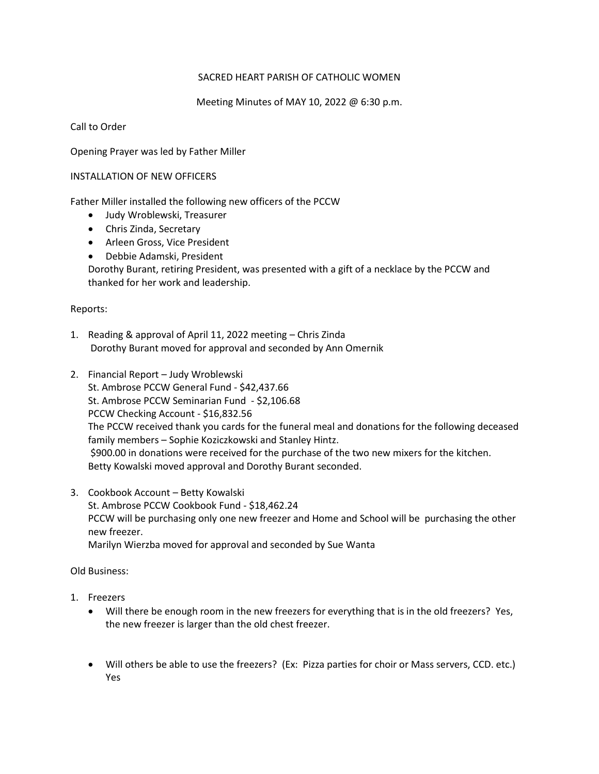## SACRED HEART PARISH OF CATHOLIC WOMEN

Meeting Minutes of MAY 10, 2022 @ 6:30 p.m.

Call to Order

Opening Prayer was led by Father Miller

## INSTALLATION OF NEW OFFICERS

Father Miller installed the following new officers of the PCCW

- Judy Wroblewski, Treasurer
- Chris Zinda, Secretary
- Arleen Gross, Vice President
- Debbie Adamski, President

Dorothy Burant, retiring President, was presented with a gift of a necklace by the PCCW and thanked for her work and leadership.

## Reports:

- 1. Reading & approval of April 11, 2022 meeting Chris Zinda Dorothy Burant moved for approval and seconded by Ann Omernik
- 2. Financial Report Judy Wroblewski St. Ambrose PCCW General Fund - \$42,437.66 St. Ambrose PCCW Seminarian Fund - \$2,106.68 PCCW Checking Account - \$16,832.56 The PCCW received thank you cards for the funeral meal and donations for the following deceased family members – Sophie Koziczkowski and Stanley Hintz. \$900.00 in donations were received for the purchase of the two new mixers for the kitchen. Betty Kowalski moved approval and Dorothy Burant seconded.
- 3. Cookbook Account Betty Kowalski St. Ambrose PCCW Cookbook Fund - \$18,462.24 PCCW will be purchasing only one new freezer and Home and School will be purchasing the other new freezer. Marilyn Wierzba moved for approval and seconded by Sue Wanta

## Old Business:

- 1. Freezers
	- Will there be enough room in the new freezers for everything that is in the old freezers? Yes, the new freezer is larger than the old chest freezer.
	- Will others be able to use the freezers? (Ex: Pizza parties for choir or Mass servers, CCD. etc.) Yes